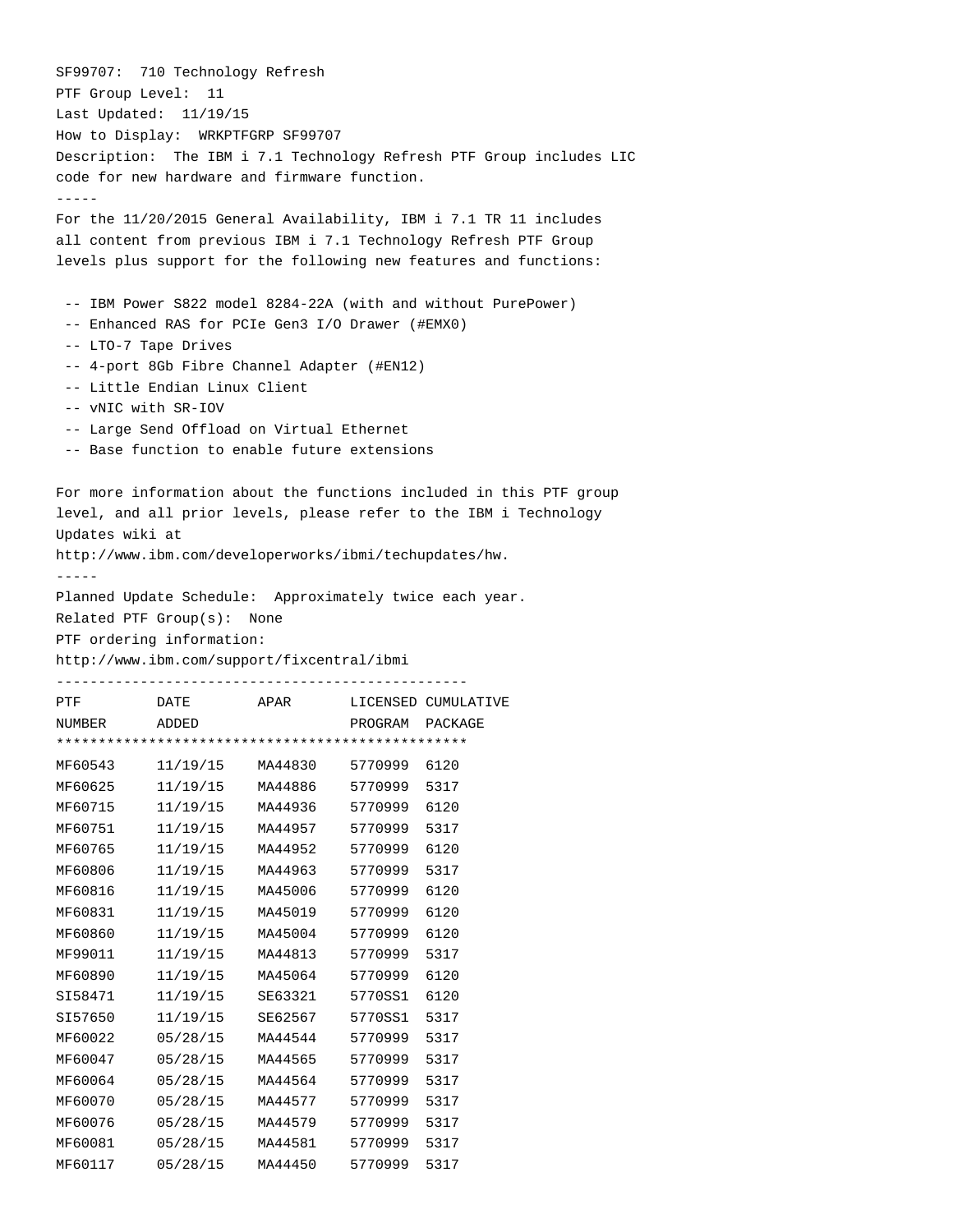SF99707: 710 Technology Refresh PTF Group Level: 11 Last Updated: 11/19/15 How to Display: WRKPTFGRP SF99707 Description: The IBM i 7.1 Technology Refresh PTF Group includes LIC code for new hardware and firmware function. ----- For the 11/20/2015 General Availability, IBM i 7.1 TR 11 includes all content from previous IBM i 7.1 Technology Refresh PTF Group levels plus support for the following new features and functions: -- IBM Power S822 model 8284-22A (with and without PurePower) -- Enhanced RAS for PCIe Gen3 I/O Drawer (#EMX0) -- LTO-7 Tape Drives -- 4-port 8Gb Fibre Channel Adapter (#EN12) -- Little Endian Linux Client -- vNIC with SR-IOV -- Large Send Offload on Virtual Ethernet -- Base function to enable future extensions For more information about the functions included in this PTF group level, and all prior levels, please refer to the IBM i Technology Updates wiki at http://www.ibm.com/developerworks/ibmi/techupdates/hw. ----- Planned Update Schedule: Approximately twice each year. Related PTF Group(s): None PTF ordering information: http://www.ibm.com/support/fixcentral/ibmi ------------------------------------------------- PTF DATE APAR LICENSED CUMULATIVE NUMBER ADDED PROGRAM PACKAGE \*\*\*\*\*\*\*\*\*\*\*\*\*\*\*\*\*\*\*\*\*\*\*\*\*\*\*\*\*\*\*\*\*\*\*\*\*\*\*\*\*\*\*\*\*\*\*\*\* MF60543 11/19/15 MA44830 5770999 6120 MF60625 11/19/15 MA44886 5770999 5317 MF60715 11/19/15 MA44936 5770999 6120 MF60751 11/19/15 MA44957 5770999 5317 MF60765 11/19/15 MA44952 5770999 6120 MF60806 11/19/15 MA44963 5770999 5317 MF60816 11/19/15 MA45006 5770999 6120 MF60831 11/19/15 MA45019 5770999 6120 MF60860 11/19/15 MA45004 5770999 6120 MF99011 11/19/15 MA44813 5770999 5317 MF60890 11/19/15 MA45064 5770999 6120 SI58471 11/19/15 SE63321 5770SS1 6120 SI57650 11/19/15 SE62567 5770SS1 5317 MF60022 05/28/15 MA44544 5770999 5317 MF60047 05/28/15 MA44565 5770999 5317 MF60064 05/28/15 MA44564 5770999 5317 MF60070 05/28/15 MA44577 5770999 5317 MF60076 05/28/15 MA44579 5770999 5317 MF60081 05/28/15 MA44581 5770999 5317 MF60117 05/28/15 MA44450 5770999 5317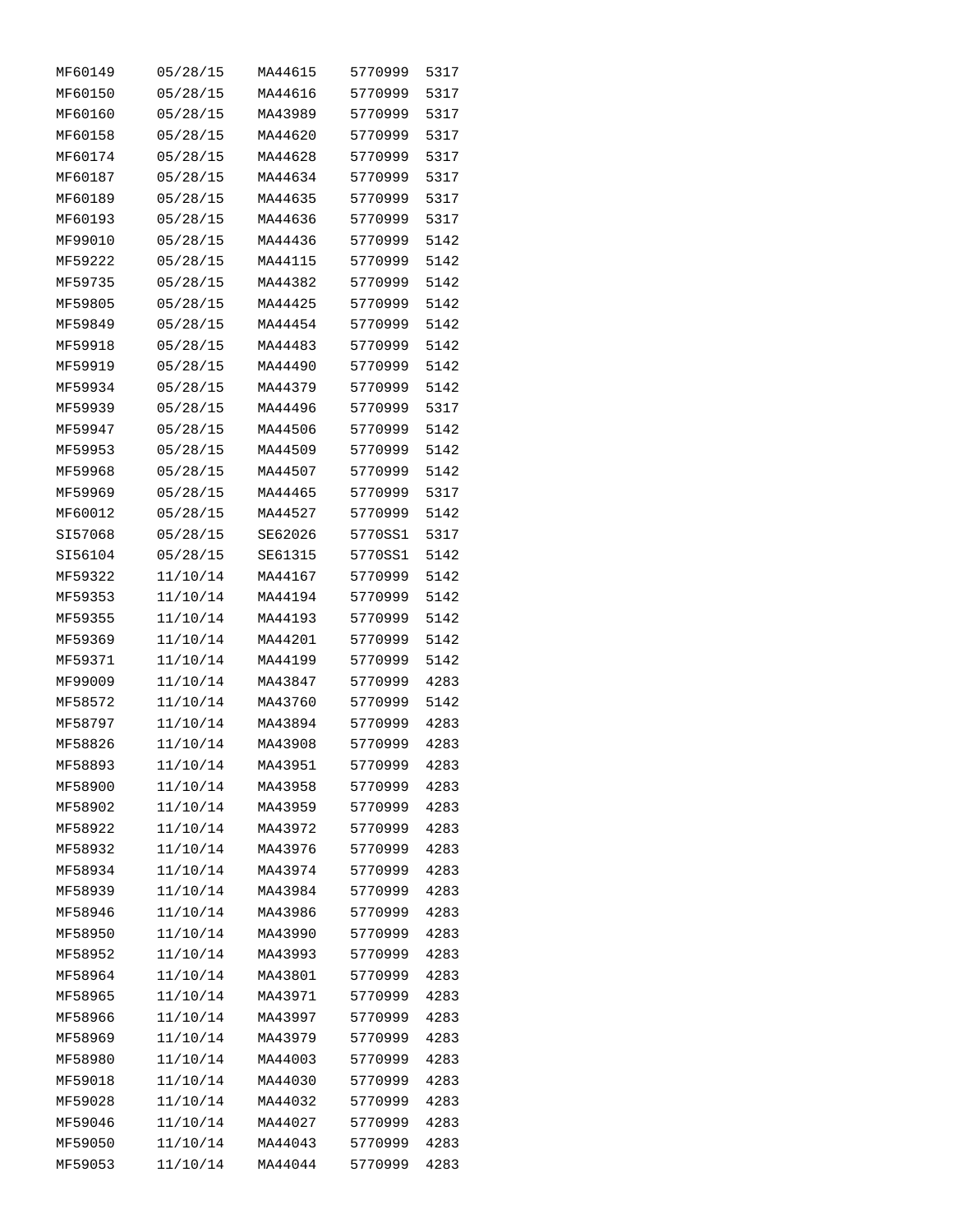| MF60149 | 05/28/15 | MA44615 | 5770999 | 5317 |
|---------|----------|---------|---------|------|
| MF60150 | 05/28/15 | MA44616 | 5770999 | 5317 |
| MF60160 | 05/28/15 | MA43989 | 5770999 | 5317 |
| MF60158 | 05/28/15 | MA44620 | 5770999 | 5317 |
| MF60174 | 05/28/15 | MA44628 | 5770999 | 5317 |
| MF60187 | 05/28/15 | MA44634 | 5770999 | 5317 |
| MF60189 | 05/28/15 | MA44635 | 5770999 | 5317 |
| MF60193 | 05/28/15 | MA44636 | 5770999 | 5317 |
| MF99010 | 05/28/15 | MA44436 | 5770999 | 5142 |
| MF59222 | 05/28/15 | MA44115 | 5770999 | 5142 |
| MF59735 | 05/28/15 | MA44382 | 5770999 | 5142 |
| MF59805 | 05/28/15 | MA44425 | 5770999 | 5142 |
| MF59849 | 05/28/15 | MA44454 | 5770999 | 5142 |
| MF59918 | 05/28/15 | MA44483 | 5770999 | 5142 |
| MF59919 | 05/28/15 | MA44490 | 5770999 | 5142 |
| MF59934 | 05/28/15 | MA44379 | 5770999 | 5142 |
| MF59939 | 05/28/15 | MA44496 | 5770999 | 5317 |
| MF59947 | 05/28/15 | MA44506 | 5770999 | 5142 |
| MF59953 | 05/28/15 | MA44509 | 5770999 | 5142 |
| MF59968 | 05/28/15 | MA44507 | 5770999 | 5142 |
| MF59969 |          | MA44465 | 5770999 | 5317 |
|         | 05/28/15 |         |         |      |
| MF60012 | 05/28/15 | MA44527 | 5770999 | 5142 |
| SI57068 | 05/28/15 | SE62026 | 5770SS1 | 5317 |
| SI56104 | 05/28/15 | SE61315 | 5770SS1 | 5142 |
| MF59322 | 11/10/14 | MA44167 | 5770999 | 5142 |
| MF59353 | 11/10/14 | MA44194 | 5770999 | 5142 |
| MF59355 | 11/10/14 | MA44193 | 5770999 | 5142 |
| MF59369 | 11/10/14 | MA44201 | 5770999 | 5142 |
| MF59371 | 11/10/14 | MA44199 | 5770999 | 5142 |
| MF99009 | 11/10/14 | MA43847 | 5770999 | 4283 |
| MF58572 | 11/10/14 | MA43760 | 5770999 | 5142 |
| MF58797 | 11/10/14 | MA43894 | 5770999 | 4283 |
| MF58826 | 11/10/14 | MA43908 | 5770999 | 4283 |
| MF58893 | 11/10/14 | MA43951 | 5770999 | 4283 |
| MF58900 | 11/10/14 | MA43958 | 5770999 | 4283 |
| MF58902 | 11/10/14 | MA43959 | 5770999 | 4283 |
| MF58922 | 11/10/14 | MA43972 | 5770999 | 4283 |
| MF58932 | 11/10/14 | MA43976 | 5770999 | 4283 |
| MF58934 | 11/10/14 | MA43974 | 5770999 | 4283 |
| MF58939 | 11/10/14 | MA43984 | 5770999 | 4283 |
| MF58946 | 11/10/14 | MA43986 | 5770999 | 4283 |
| MF58950 | 11/10/14 | MA43990 | 5770999 | 4283 |
| MF58952 | 11/10/14 | MA43993 | 5770999 | 4283 |
| MF58964 | 11/10/14 | MA43801 | 5770999 | 4283 |
| MF58965 | 11/10/14 | MA43971 | 5770999 | 4283 |
| MF58966 | 11/10/14 | MA43997 | 5770999 | 4283 |
| MF58969 | 11/10/14 | MA43979 | 5770999 | 4283 |
| MF58980 | 11/10/14 | MA44003 | 5770999 | 4283 |
| MF59018 | 11/10/14 | MA44030 | 5770999 | 4283 |
| MF59028 | 11/10/14 | MA44032 | 5770999 | 4283 |
| MF59046 | 11/10/14 | MA44027 | 5770999 | 4283 |
| MF59050 | 11/10/14 | MA44043 | 5770999 | 4283 |
| MF59053 | 11/10/14 | MA44044 | 5770999 | 4283 |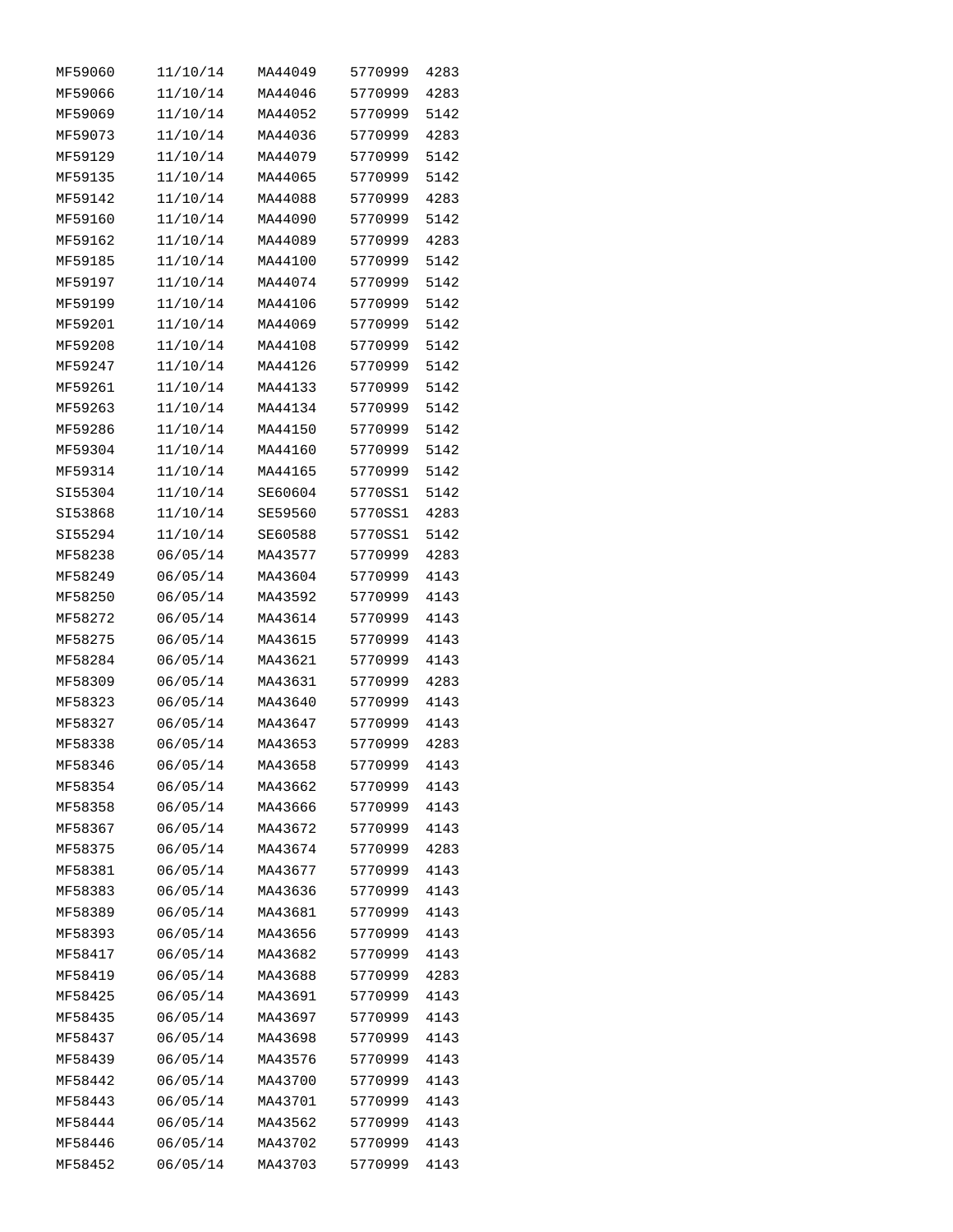| MF59060 | 11/10/14 | MA44049 | 5770999 | 4283 |
|---------|----------|---------|---------|------|
| MF59066 | 11/10/14 | MA44046 | 5770999 | 4283 |
| MF59069 | 11/10/14 | MA44052 | 5770999 | 5142 |
| MF59073 | 11/10/14 | MA44036 | 5770999 | 4283 |
| MF59129 | 11/10/14 | MA44079 | 5770999 | 5142 |
| MF59135 | 11/10/14 | MA44065 | 5770999 | 5142 |
| MF59142 | 11/10/14 | MA44088 | 5770999 | 4283 |
| MF59160 | 11/10/14 | MA44090 | 5770999 | 5142 |
| MF59162 | 11/10/14 | MA44089 | 5770999 | 4283 |
| MF59185 | 11/10/14 | MA44100 | 5770999 | 5142 |
| MF59197 | 11/10/14 | MA44074 | 5770999 | 5142 |
| MF59199 | 11/10/14 | MA44106 | 5770999 | 5142 |
| MF59201 | 11/10/14 | MA44069 | 5770999 | 5142 |
| MF59208 | 11/10/14 | MA44108 | 5770999 | 5142 |
| MF59247 | 11/10/14 | MA44126 | 5770999 | 5142 |
| MF59261 | 11/10/14 | MA44133 | 5770999 | 5142 |
| MF59263 | 11/10/14 | MA44134 | 5770999 | 5142 |
| MF59286 | 11/10/14 | MA44150 | 5770999 | 5142 |
| MF59304 | 11/10/14 | MA44160 | 5770999 | 5142 |
| MF59314 | 11/10/14 | MA44165 | 5770999 | 5142 |
| SI55304 | 11/10/14 | SE60604 | 5770SS1 | 5142 |
| SI53868 | 11/10/14 | SE59560 | 5770SS1 | 4283 |
| SI55294 | 11/10/14 | SE60588 | 5770SS1 | 5142 |
| MF58238 | 06/05/14 | MA43577 | 5770999 | 4283 |
| MF58249 | 06/05/14 | MA43604 | 5770999 | 4143 |
| MF58250 | 06/05/14 | MA43592 | 5770999 | 4143 |
| MF58272 | 06/05/14 | MA43614 | 5770999 | 4143 |
| MF58275 | 06/05/14 | MA43615 | 5770999 | 4143 |
| MF58284 | 06/05/14 | MA43621 | 5770999 | 4143 |
| MF58309 | 06/05/14 | MA43631 | 5770999 | 4283 |
| MF58323 | 06/05/14 | MA43640 | 5770999 | 4143 |
| MF58327 | 06/05/14 | MA43647 | 5770999 | 4143 |
| MF58338 | 06/05/14 | MA43653 | 5770999 | 4283 |
| MF58346 | 06/05/14 | MA43658 | 5770999 | 4143 |
| MF58354 | 06/05/14 | MA43662 | 5770999 | 4143 |
| MF58358 | 06/05/14 | MA43666 | 5770999 | 4143 |
| MF58367 | 06/05/14 | MA43672 | 5770999 | 4143 |
| MF58375 | 06/05/14 | MA43674 | 5770999 | 4283 |
| MF58381 |          |         |         |      |
|         | 06/05/14 | MA43677 | 5770999 | 4143 |
| MF58383 | 06/05/14 | MA43636 | 5770999 | 4143 |
| MF58389 | 06/05/14 | MA43681 | 5770999 | 4143 |
| MF58393 | 06/05/14 | MA43656 | 5770999 | 4143 |
| MF58417 | 06/05/14 | MA43682 | 5770999 | 4143 |
| MF58419 | 06/05/14 | MA43688 | 5770999 | 4283 |
| MF58425 | 06/05/14 | MA43691 | 5770999 | 4143 |
| MF58435 | 06/05/14 | MA43697 | 5770999 | 4143 |
| MF58437 | 06/05/14 | MA43698 | 5770999 | 4143 |
| MF58439 | 06/05/14 | MA43576 | 5770999 | 4143 |
| MF58442 | 06/05/14 | MA43700 | 5770999 | 4143 |
| MF58443 | 06/05/14 | MA43701 | 5770999 | 4143 |
| MF58444 | 06/05/14 | MA43562 | 5770999 | 4143 |
| MF58446 | 06/05/14 | MA43702 | 5770999 | 4143 |
| MF58452 | 06/05/14 | MA43703 | 5770999 | 4143 |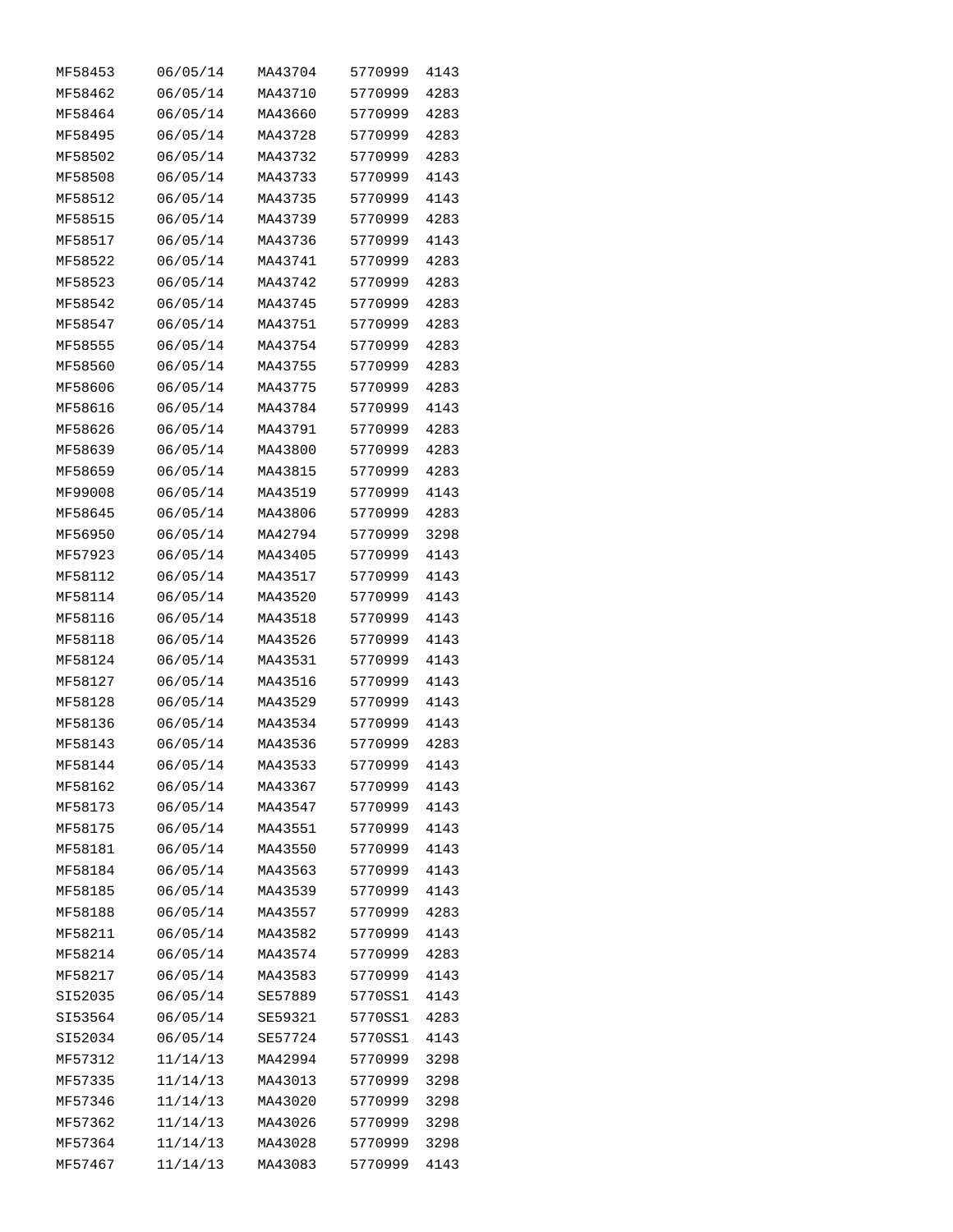| MF58453 | 06/05/14 | MA43704 | 5770999 | 4143 |
|---------|----------|---------|---------|------|
| MF58462 | 06/05/14 | MA43710 | 5770999 | 4283 |
| MF58464 | 06/05/14 | MA43660 | 5770999 | 4283 |
| MF58495 | 06/05/14 | MA43728 | 5770999 | 4283 |
| MF58502 | 06/05/14 | MA43732 | 5770999 | 4283 |
| MF58508 | 06/05/14 | MA43733 | 5770999 | 4143 |
| MF58512 | 06/05/14 | MA43735 | 5770999 | 4143 |
| MF58515 | 06/05/14 | MA43739 | 5770999 | 4283 |
| MF58517 | 06/05/14 | MA43736 | 5770999 | 4143 |
| MF58522 | 06/05/14 | MA43741 | 5770999 | 4283 |
| MF58523 | 06/05/14 | MA43742 | 5770999 | 4283 |
| MF58542 | 06/05/14 | MA43745 | 5770999 | 4283 |
| MF58547 | 06/05/14 | MA43751 | 5770999 | 4283 |
| MF58555 | 06/05/14 | MA43754 | 5770999 | 4283 |
| MF58560 | 06/05/14 | MA43755 | 5770999 | 4283 |
| MF58606 |          | MA43775 | 5770999 | 4283 |
|         | 06/05/14 | MA43784 |         |      |
| MF58616 | 06/05/14 |         | 5770999 | 4143 |
| MF58626 | 06/05/14 | MA43791 | 5770999 | 4283 |
| MF58639 | 06/05/14 | MA43800 | 5770999 | 4283 |
| MF58659 | 06/05/14 | MA43815 | 5770999 | 4283 |
| MF99008 | 06/05/14 | MA43519 | 5770999 | 4143 |
| MF58645 | 06/05/14 | MA43806 | 5770999 | 4283 |
| MF56950 | 06/05/14 | MA42794 | 5770999 | 3298 |
| MF57923 | 06/05/14 | MA43405 | 5770999 | 4143 |
| MF58112 | 06/05/14 | MA43517 | 5770999 | 4143 |
| MF58114 | 06/05/14 | MA43520 | 5770999 | 4143 |
| MF58116 | 06/05/14 | MA43518 | 5770999 | 4143 |
| MF58118 | 06/05/14 | MA43526 | 5770999 | 4143 |
| MF58124 | 06/05/14 | MA43531 | 5770999 | 4143 |
| MF58127 | 06/05/14 | MA43516 | 5770999 | 4143 |
| MF58128 | 06/05/14 | MA43529 | 5770999 | 4143 |
| MF58136 | 06/05/14 | MA43534 | 5770999 | 4143 |
| MF58143 | 06/05/14 | MA43536 | 5770999 | 4283 |
| MF58144 | 06/05/14 | MA43533 | 5770999 | 4143 |
| MF58162 | 06/05/14 | MA43367 | 5770999 | 4143 |
| MF58173 | 06/05/14 | MA43547 | 5770999 | 4143 |
| MF58175 | 06/05/14 | MA43551 | 5770999 | 4143 |
| MF58181 | 06/05/14 | MA43550 | 5770999 | 4143 |
| MF58184 | 06/05/14 | MA43563 | 5770999 | 4143 |
| MF58185 | 06/05/14 | MA43539 | 5770999 | 4143 |
| MF58188 | 06/05/14 | MA43557 | 5770999 | 4283 |
| MF58211 | 06/05/14 | MA43582 | 5770999 | 4143 |
| MF58214 | 06/05/14 | MA43574 | 5770999 | 4283 |
| MF58217 | 06/05/14 | MA43583 | 5770999 | 4143 |
| SI52035 | 06/05/14 | SE57889 | 5770SS1 | 4143 |
| SI53564 | 06/05/14 | SE59321 | 5770SS1 | 4283 |
| SI52034 | 06/05/14 | SE57724 | 5770SS1 | 4143 |
| MF57312 | 11/14/13 | MA42994 | 5770999 | 3298 |
| MF57335 | 11/14/13 | MA43013 | 5770999 | 3298 |
| MF57346 | 11/14/13 | MA43020 | 5770999 | 3298 |
| MF57362 | 11/14/13 | MA43026 | 5770999 | 3298 |
| MF57364 | 11/14/13 | MA43028 | 5770999 | 3298 |
| MF57467 | 11/14/13 | MA43083 | 5770999 | 4143 |
|         |          |         |         |      |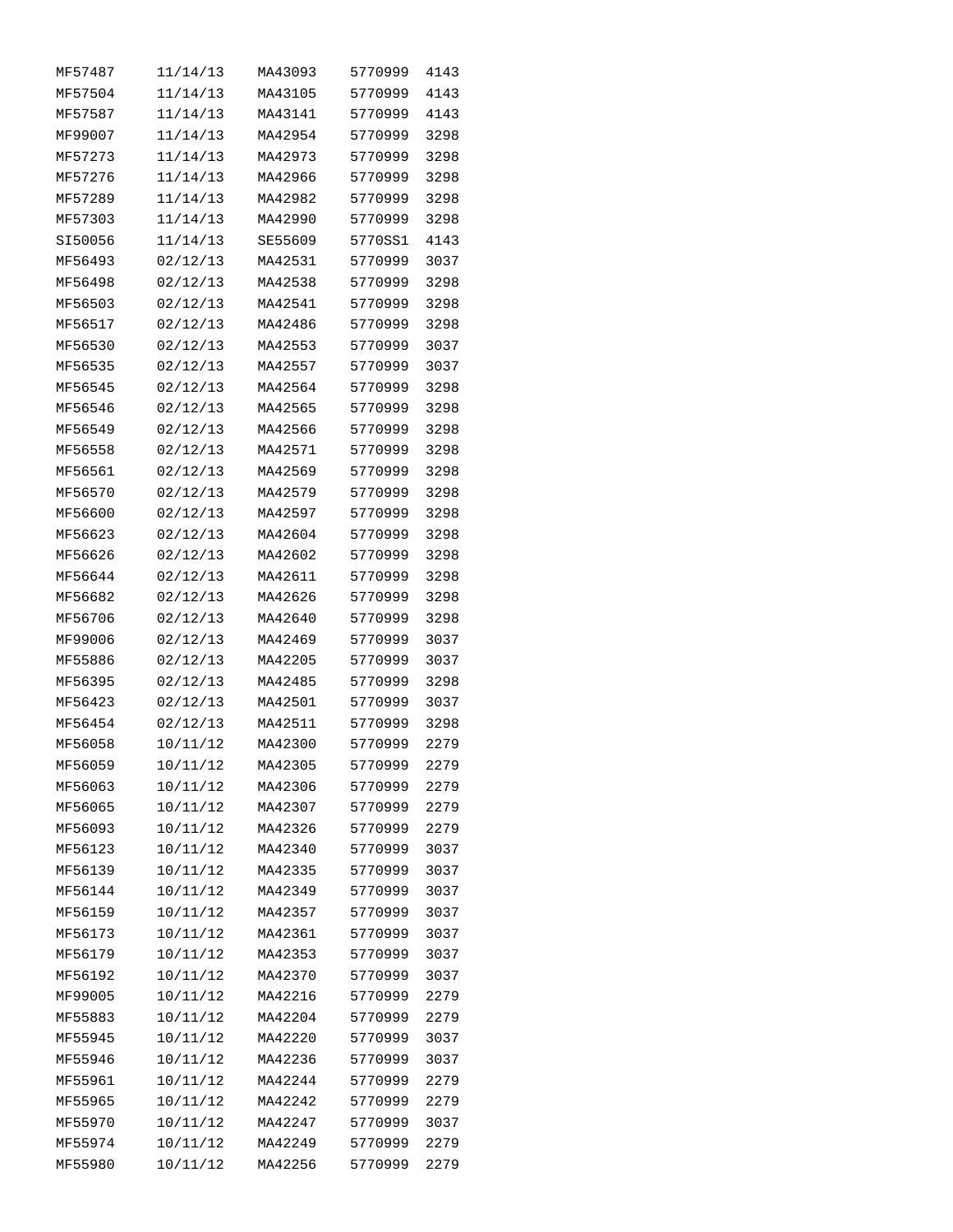| MF57487 | 11/14/13 | MA43093 | 5770999 | 4143 |
|---------|----------|---------|---------|------|
| MF57504 | 11/14/13 | MA43105 | 5770999 | 4143 |
| MF57587 | 11/14/13 | MA43141 | 5770999 | 4143 |
| MF99007 | 11/14/13 | MA42954 | 5770999 | 3298 |
| MF57273 | 11/14/13 | MA42973 | 5770999 | 3298 |
| MF57276 | 11/14/13 | MA42966 | 5770999 | 3298 |
| MF57289 | 11/14/13 | MA42982 | 5770999 | 3298 |
| MF57303 | 11/14/13 | MA42990 | 5770999 | 3298 |
| SI50056 | 11/14/13 | SE55609 | 5770SS1 | 4143 |
| MF56493 | 02/12/13 | MA42531 | 5770999 | 3037 |
| MF56498 | 02/12/13 | MA42538 | 5770999 | 3298 |
| MF56503 | 02/12/13 | MA42541 | 5770999 | 3298 |
| MF56517 | 02/12/13 | MA42486 | 5770999 | 3298 |
| MF56530 | 02/12/13 | MA42553 | 5770999 | 3037 |
| MF56535 | 02/12/13 | MA42557 | 5770999 | 3037 |
| MF56545 | 02/12/13 | MA42564 | 5770999 | 3298 |
| MF56546 | 02/12/13 | MA42565 | 5770999 | 3298 |
| MF56549 | 02/12/13 | MA42566 | 5770999 | 3298 |
| MF56558 | 02/12/13 | MA42571 | 5770999 | 3298 |
| MF56561 | 02/12/13 | MA42569 | 5770999 | 3298 |
| MF56570 | 02/12/13 | MA42579 | 5770999 | 3298 |
| MF56600 | 02/12/13 | MA42597 | 5770999 | 3298 |
| MF56623 | 02/12/13 | MA42604 | 5770999 | 3298 |
| MF56626 | 02/12/13 | MA42602 | 5770999 | 3298 |
| MF56644 | 02/12/13 | MA42611 | 5770999 | 3298 |
| MF56682 | 02/12/13 | MA42626 | 5770999 | 3298 |
| MF56706 | 02/12/13 | MA42640 | 5770999 | 3298 |
| MF99006 | 02/12/13 | MA42469 | 5770999 | 3037 |
| MF55886 | 02/12/13 | MA42205 | 5770999 | 3037 |
| MF56395 | 02/12/13 | MA42485 | 5770999 | 3298 |
| MF56423 | 02/12/13 | MA42501 | 5770999 | 3037 |
| MF56454 | 02/12/13 | MA42511 | 5770999 | 3298 |
| MF56058 | 10/11/12 | MA42300 | 5770999 | 2279 |
| MF56059 | 10/11/12 | MA42305 | 5770999 | 2279 |
| MF56063 | 10/11/12 | MA42306 | 5770999 | 2279 |
| MF56065 | 10/11/12 | MA42307 | 5770999 | 2279 |
| MF56093 | 10/11/12 | MA42326 | 5770999 | 2279 |
| MF56123 | 10/11/12 | MA42340 | 5770999 | 3037 |
|         | 10/11/12 |         | 5770999 |      |
| MF56139 |          | MA42335 |         | 3037 |
| MF56144 | 10/11/12 | MA42349 | 5770999 | 3037 |
| MF56159 | 10/11/12 | MA42357 | 5770999 | 3037 |
| MF56173 | 10/11/12 | MA42361 | 5770999 | 3037 |
| MF56179 | 10/11/12 | MA42353 | 5770999 | 3037 |
| MF56192 | 10/11/12 | MA42370 | 5770999 | 3037 |
| MF99005 | 10/11/12 | MA42216 | 5770999 | 2279 |
| MF55883 | 10/11/12 | MA42204 | 5770999 | 2279 |
| MF55945 | 10/11/12 | MA42220 | 5770999 | 3037 |
| MF55946 | 10/11/12 | MA42236 | 5770999 | 3037 |
| MF55961 | 10/11/12 | MA42244 | 5770999 | 2279 |
| MF55965 | 10/11/12 | MA42242 | 5770999 | 2279 |
| MF55970 | 10/11/12 | MA42247 | 5770999 | 3037 |
| MF55974 | 10/11/12 | MA42249 | 5770999 | 2279 |
| MF55980 | 10/11/12 | MA42256 | 5770999 | 2279 |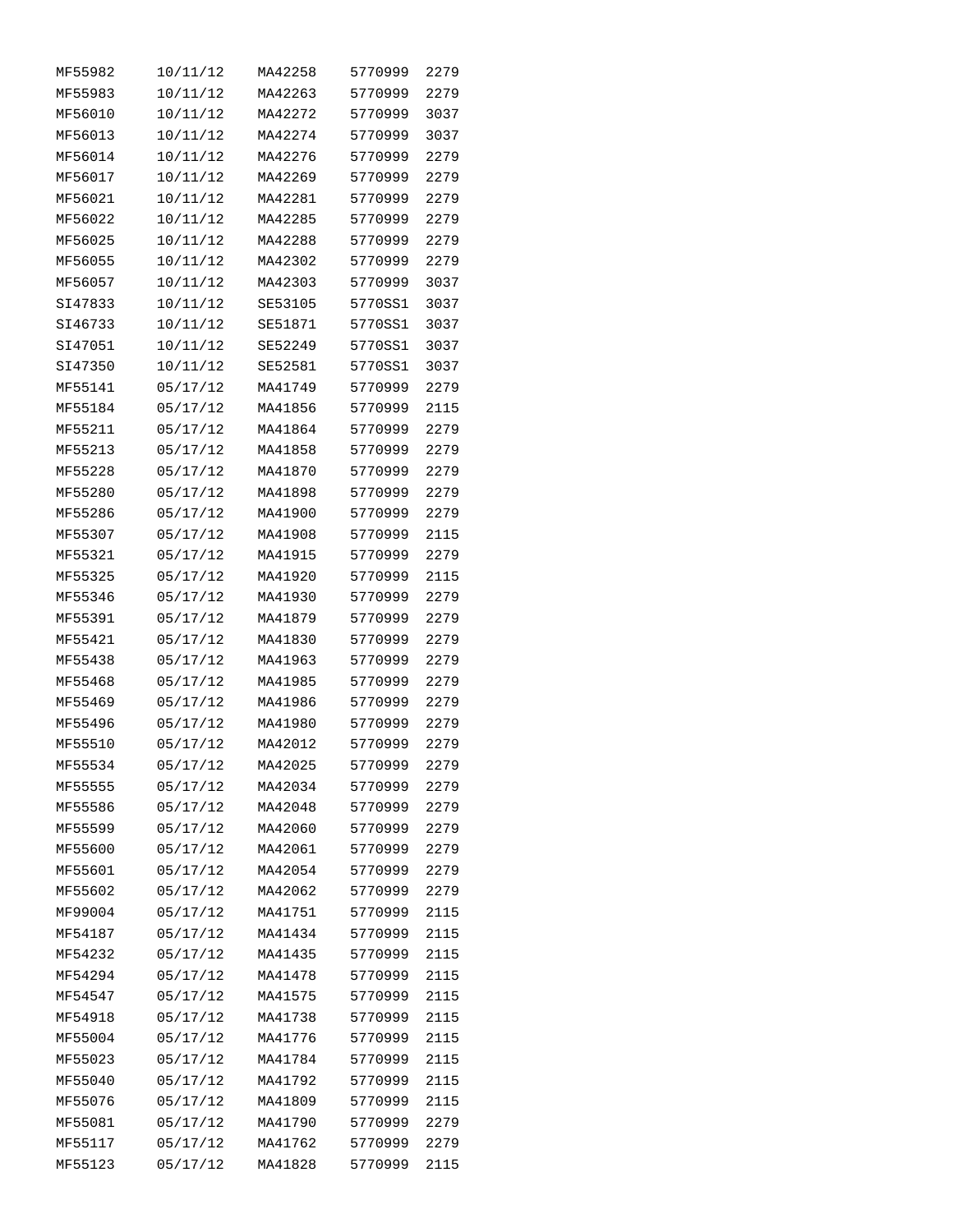| MF55982            | 10/11/12 | MA42258 | 5770999            | 2279 |
|--------------------|----------|---------|--------------------|------|
| MF55983            | 10/11/12 | MA42263 | 5770999            | 2279 |
| MF56010            | 10/11/12 | MA42272 | 5770999            | 3037 |
| MF56013            | 10/11/12 | MA42274 | 5770999            | 3037 |
| MF56014            | 10/11/12 | MA42276 | 5770999            | 2279 |
| MF56017            | 10/11/12 | MA42269 | 5770999            | 2279 |
| MF56021            | 10/11/12 | MA42281 | 5770999            | 2279 |
| MF56022            | 10/11/12 | MA42285 | 5770999            | 2279 |
| MF56025            | 10/11/12 | MA42288 | 5770999            | 2279 |
| MF56055            | 10/11/12 | MA42302 | 5770999            | 2279 |
| MF56057            | 10/11/12 | MA42303 | 5770999            | 3037 |
| SI47833            | 10/11/12 | SE53105 | 5770SS1            | 3037 |
| SI46733            | 10/11/12 | SE51871 | 5770SS1            | 3037 |
| SI47051            | 10/11/12 | SE52249 | 5770SS1            | 3037 |
| SI47350            | 10/11/12 | SE52581 | 5770SS1            | 3037 |
| MF55141            | 05/17/12 | MA41749 | 5770999            | 2279 |
| MF55184            | 05/17/12 | MA41856 | 5770999            | 2115 |
| MF55211            | 05/17/12 | MA41864 | 5770999            | 2279 |
| MF55213            | 05/17/12 | MA41858 | 5770999            | 2279 |
| MF55228            |          | MA41870 | 5770999            | 2279 |
|                    | 05/17/12 | MA41898 |                    |      |
| MF55280            | 05/17/12 |         | 5770999            | 2279 |
| MF55286            | 05/17/12 | MA41900 | 5770999            | 2279 |
| MF55307            | 05/17/12 | MA41908 | 5770999            | 2115 |
| MF55321            | 05/17/12 | MA41915 | 5770999            | 2279 |
| MF55325            | 05/17/12 | MA41920 | 5770999            | 2115 |
| MF55346            | 05/17/12 | MA41930 | 5770999            | 2279 |
| MF55391            | 05/17/12 | MA41879 | 5770999            | 2279 |
| MF55421            | 05/17/12 | MA41830 | 5770999            | 2279 |
| MF55438            | 05/17/12 | MA41963 | 5770999<br>5770999 | 2279 |
| MF55468<br>MF55469 | 05/17/12 | MA41985 | 5770999            | 2279 |
|                    | 05/17/12 | MA41986 |                    | 2279 |
| MF55496            | 05/17/12 | MA41980 | 5770999            | 2279 |
| MF55510            | 05/17/12 | MA42012 | 5770999            | 2279 |
| MF55534            | 05/17/12 | MA42025 | 5770999            | 2279 |
| MF55555            | 05/17/12 | MA42034 | 5770999            | 2279 |
| MF55586            | 05/17/12 | MA42048 | 5770999            | 2279 |
| MF55599            | 05/17/12 | MA42060 | 5770999            | 2279 |
| MF55600            | 05/17/12 | MA42061 | 5770999            | 2279 |
| MF55601            | 05/17/12 | MA42054 | 5770999            | 2279 |
| MF55602            | 05/17/12 | MA42062 | 5770999            | 2279 |
| MF99004            | 05/17/12 | MA41751 | 5770999            | 2115 |
| MF54187            | 05/17/12 | MA41434 | 5770999            | 2115 |
| MF54232            | 05/17/12 | MA41435 | 5770999            | 2115 |
| MF54294            | 05/17/12 | MA41478 | 5770999            | 2115 |
| MF54547            | 05/17/12 | MA41575 | 5770999            | 2115 |
| MF54918            | 05/17/12 | MA41738 | 5770999            | 2115 |
| MF55004            | 05/17/12 | MA41776 | 5770999            | 2115 |
| MF55023            | 05/17/12 | MA41784 | 5770999            | 2115 |
| MF55040            | 05/17/12 | MA41792 | 5770999            | 2115 |
| MF55076            | 05/17/12 | MA41809 | 5770999            | 2115 |
| MF55081            | 05/17/12 | MA41790 | 5770999            | 2279 |
| MF55117            | 05/17/12 | MA41762 | 5770999            | 2279 |
| MF55123            | 05/17/12 | MA41828 | 5770999            | 2115 |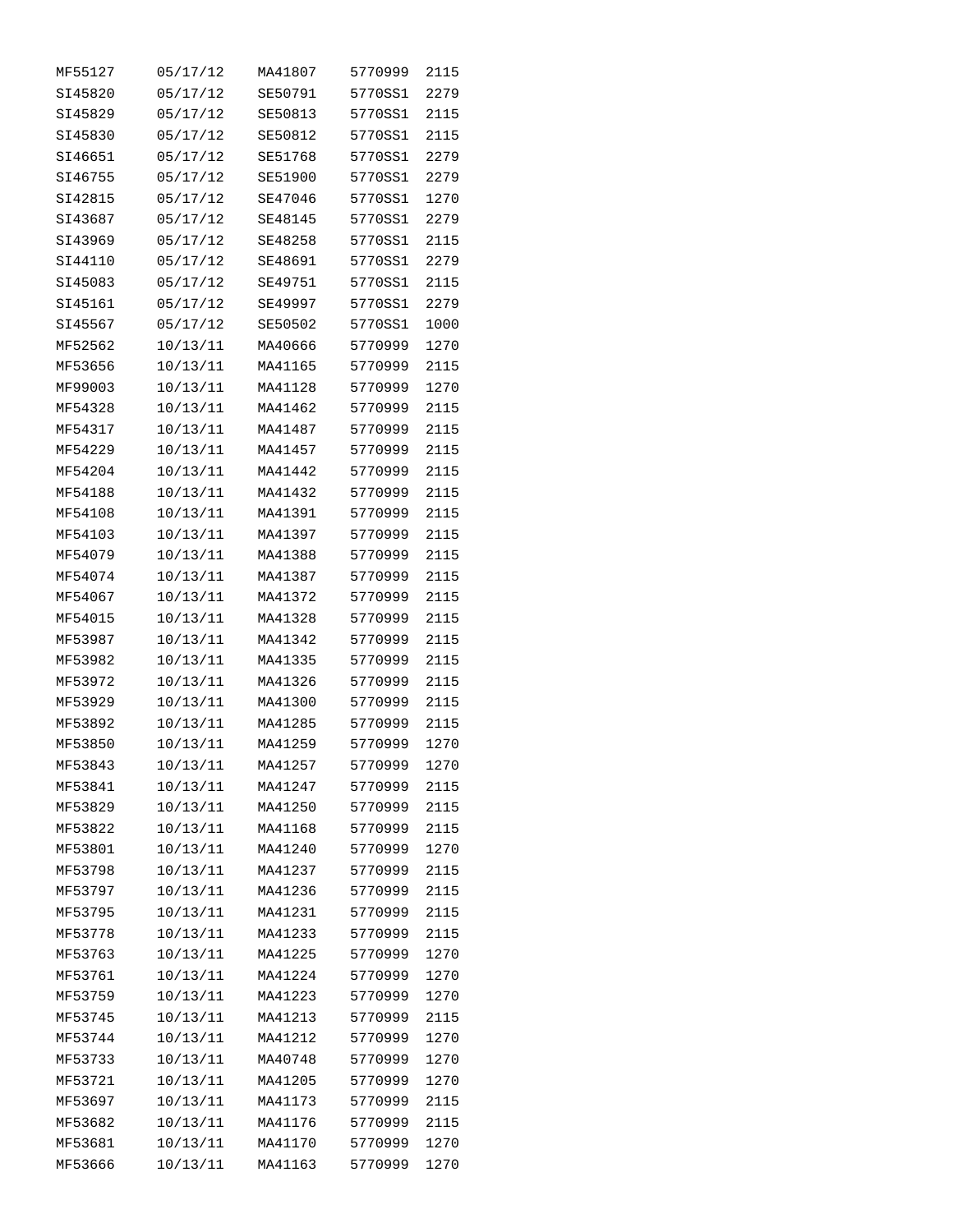| MF55127 | 05/17/12 | MA41807 | 5770999 | 2115 |
|---------|----------|---------|---------|------|
| SI45820 | 05/17/12 | SE50791 | 5770SS1 | 2279 |
| SI45829 | 05/17/12 | SE50813 | 5770SS1 | 2115 |
| SI45830 | 05/17/12 | SE50812 | 5770SS1 | 2115 |
| SI46651 | 05/17/12 | SE51768 | 5770SS1 | 2279 |
| SI46755 | 05/17/12 | SE51900 | 5770SS1 | 2279 |
| SI42815 | 05/17/12 | SE47046 | 5770SS1 | 1270 |
| SI43687 | 05/17/12 | SE48145 | 5770SS1 | 2279 |
| SI43969 | 05/17/12 | SE48258 | 5770SS1 | 2115 |
| SI44110 | 05/17/12 | SE48691 | 5770SS1 | 2279 |
| SI45083 | 05/17/12 | SE49751 | 5770SS1 | 2115 |
| SI45161 | 05/17/12 | SE49997 | 5770SS1 | 2279 |
| SI45567 | 05/17/12 | SE50502 | 5770SS1 | 1000 |
| MF52562 | 10/13/11 | MA40666 | 5770999 | 1270 |
| MF53656 | 10/13/11 | MA41165 | 5770999 | 2115 |
| MF99003 | 10/13/11 | MA41128 | 5770999 | 1270 |
| MF54328 | 10/13/11 | MA41462 | 5770999 | 2115 |
| MF54317 | 10/13/11 | MA41487 | 5770999 | 2115 |
| MF54229 | 10/13/11 | MA41457 | 5770999 | 2115 |
| MF54204 |          | MA41442 | 5770999 | 2115 |
|         | 10/13/11 |         |         | 2115 |
| MF54188 | 10/13/11 | MA41432 | 5770999 |      |
| MF54108 | 10/13/11 | MA41391 | 5770999 | 2115 |
| MF54103 | 10/13/11 | MA41397 | 5770999 | 2115 |
| MF54079 | 10/13/11 | MA41388 | 5770999 | 2115 |
| MF54074 | 10/13/11 | MA41387 | 5770999 | 2115 |
| MF54067 | 10/13/11 | MA41372 | 5770999 | 2115 |
| MF54015 | 10/13/11 | MA41328 | 5770999 | 2115 |
| MF53987 | 10/13/11 | MA41342 | 5770999 | 2115 |
| MF53982 | 10/13/11 | MA41335 | 5770999 | 2115 |
| MF53972 | 10/13/11 | MA41326 | 5770999 | 2115 |
| MF53929 | 10/13/11 | MA41300 | 5770999 | 2115 |
| MF53892 | 10/13/11 | MA41285 | 5770999 | 2115 |
| MF53850 | 10/13/11 | MA41259 | 5770999 | 1270 |
| MF53843 | 10/13/11 | MA41257 | 5770999 | 1270 |
| MF53841 | 10/13/11 | MA41247 | 5770999 | 2115 |
| MF53829 | 10/13/11 | MA41250 | 5770999 | 2115 |
| MF53822 | 10/13/11 | MA41168 | 5770999 | 2115 |
| MF53801 | 10/13/11 | MA41240 | 5770999 | 1270 |
| MF53798 | 10/13/11 | MA41237 | 5770999 | 2115 |
| MF53797 | 10/13/11 | MA41236 | 5770999 | 2115 |
| MF53795 | 10/13/11 | MA41231 | 5770999 | 2115 |
| MF53778 | 10/13/11 | MA41233 | 5770999 | 2115 |
| MF53763 | 10/13/11 | MA41225 | 5770999 | 1270 |
| MF53761 | 10/13/11 | MA41224 | 5770999 | 1270 |
| MF53759 | 10/13/11 | MA41223 | 5770999 | 1270 |
| MF53745 | 10/13/11 | MA41213 | 5770999 | 2115 |
| MF53744 | 10/13/11 | MA41212 | 5770999 | 1270 |
| MF53733 | 10/13/11 | MA40748 | 5770999 | 1270 |
| MF53721 | 10/13/11 | MA41205 | 5770999 | 1270 |
| MF53697 | 10/13/11 | MA41173 | 5770999 | 2115 |
| MF53682 | 10/13/11 | MA41176 | 5770999 | 2115 |
| MF53681 | 10/13/11 | MA41170 | 5770999 | 1270 |
| MF53666 | 10/13/11 | MA41163 | 5770999 | 1270 |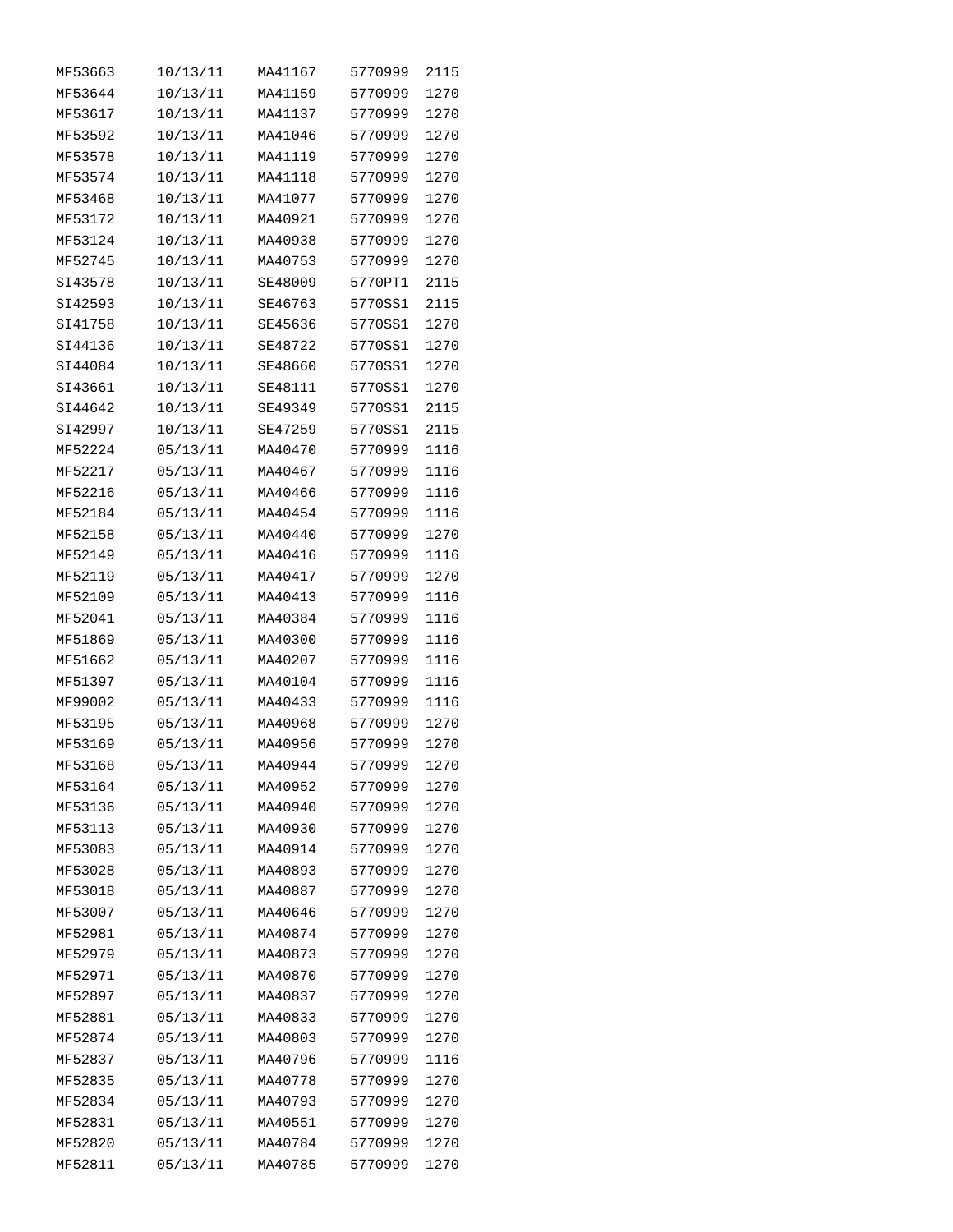| MF53663 | 10/13/11 | MA41167 | 5770999 | 2115 |
|---------|----------|---------|---------|------|
| MF53644 | 10/13/11 | MA41159 | 5770999 | 1270 |
| MF53617 | 10/13/11 | MA41137 | 5770999 | 1270 |
| MF53592 | 10/13/11 | MA41046 | 5770999 | 1270 |
| MF53578 | 10/13/11 | MA41119 | 5770999 | 1270 |
| MF53574 | 10/13/11 | MA41118 | 5770999 | 1270 |
| MF53468 | 10/13/11 | MA41077 | 5770999 | 1270 |
| MF53172 | 10/13/11 | MA40921 | 5770999 | 1270 |
| MF53124 | 10/13/11 | MA40938 | 5770999 | 1270 |
| MF52745 | 10/13/11 | MA40753 | 5770999 | 1270 |
| SI43578 | 10/13/11 | SE48009 | 5770PT1 | 2115 |
| SI42593 | 10/13/11 | SE46763 | 5770SS1 | 2115 |
| SI41758 | 10/13/11 | SE45636 | 5770SS1 | 1270 |
| SI44136 | 10/13/11 | SE48722 | 5770SS1 | 1270 |
| SI44084 | 10/13/11 | SE48660 | 5770SS1 | 1270 |
| SI43661 | 10/13/11 | SE48111 | 5770SS1 | 1270 |
| SI44642 |          | SE49349 | 5770SS1 | 2115 |
|         | 10/13/11 |         | 5770SS1 |      |
| SI42997 | 10/13/11 | SE47259 |         | 2115 |
| MF52224 | 05/13/11 | MA40470 | 5770999 | 1116 |
| MF52217 | 05/13/11 | MA40467 | 5770999 | 1116 |
| MF52216 | 05/13/11 | MA40466 | 5770999 | 1116 |
| MF52184 | 05/13/11 | MA40454 | 5770999 | 1116 |
| MF52158 | 05/13/11 | MA40440 | 5770999 | 1270 |
| MF52149 | 05/13/11 | MA40416 | 5770999 | 1116 |
| MF52119 | 05/13/11 | MA40417 | 5770999 | 1270 |
| MF52109 | 05/13/11 | MA40413 | 5770999 | 1116 |
| MF52041 | 05/13/11 | MA40384 | 5770999 | 1116 |
| MF51869 | 05/13/11 | MA40300 | 5770999 | 1116 |
| MF51662 | 05/13/11 | MA40207 | 5770999 | 1116 |
| MF51397 | 05/13/11 | MA40104 | 5770999 | 1116 |
| MF99002 | 05/13/11 | MA40433 | 5770999 | 1116 |
| MF53195 | 05/13/11 | MA40968 | 5770999 | 1270 |
| MF53169 | 05/13/11 | MA40956 | 5770999 | 1270 |
| MF53168 | 05/13/11 | MA40944 | 5770999 | 1270 |
| MF53164 | 05/13/11 | MA40952 | 5770999 | 1270 |
| MF53136 | 05/13/11 | MA40940 | 5770999 | 1270 |
| MF53113 | 05/13/11 | MA40930 | 5770999 | 1270 |
| MF53083 | 05/13/11 | MA40914 | 5770999 | 1270 |
| MF53028 | 05/13/11 | MA40893 | 5770999 | 1270 |
| MF53018 | 05/13/11 | MA40887 | 5770999 | 1270 |
| MF53007 | 05/13/11 | MA40646 | 5770999 | 1270 |
| MF52981 | 05/13/11 | MA40874 | 5770999 | 1270 |
| MF52979 | 05/13/11 | MA40873 | 5770999 | 1270 |
| MF52971 | 05/13/11 | MA40870 | 5770999 | 1270 |
| MF52897 | 05/13/11 | MA40837 | 5770999 | 1270 |
| MF52881 | 05/13/11 | MA40833 | 5770999 | 1270 |
| MF52874 | 05/13/11 | MA40803 | 5770999 | 1270 |
| MF52837 | 05/13/11 | MA40796 | 5770999 | 1116 |
| MF52835 | 05/13/11 | MA40778 | 5770999 | 1270 |
| MF52834 | 05/13/11 | MA40793 | 5770999 | 1270 |
| MF52831 | 05/13/11 | MA40551 | 5770999 | 1270 |
| MF52820 | 05/13/11 | MA40784 | 5770999 | 1270 |
| MF52811 | 05/13/11 |         | 5770999 | 1270 |
|         |          | MA40785 |         |      |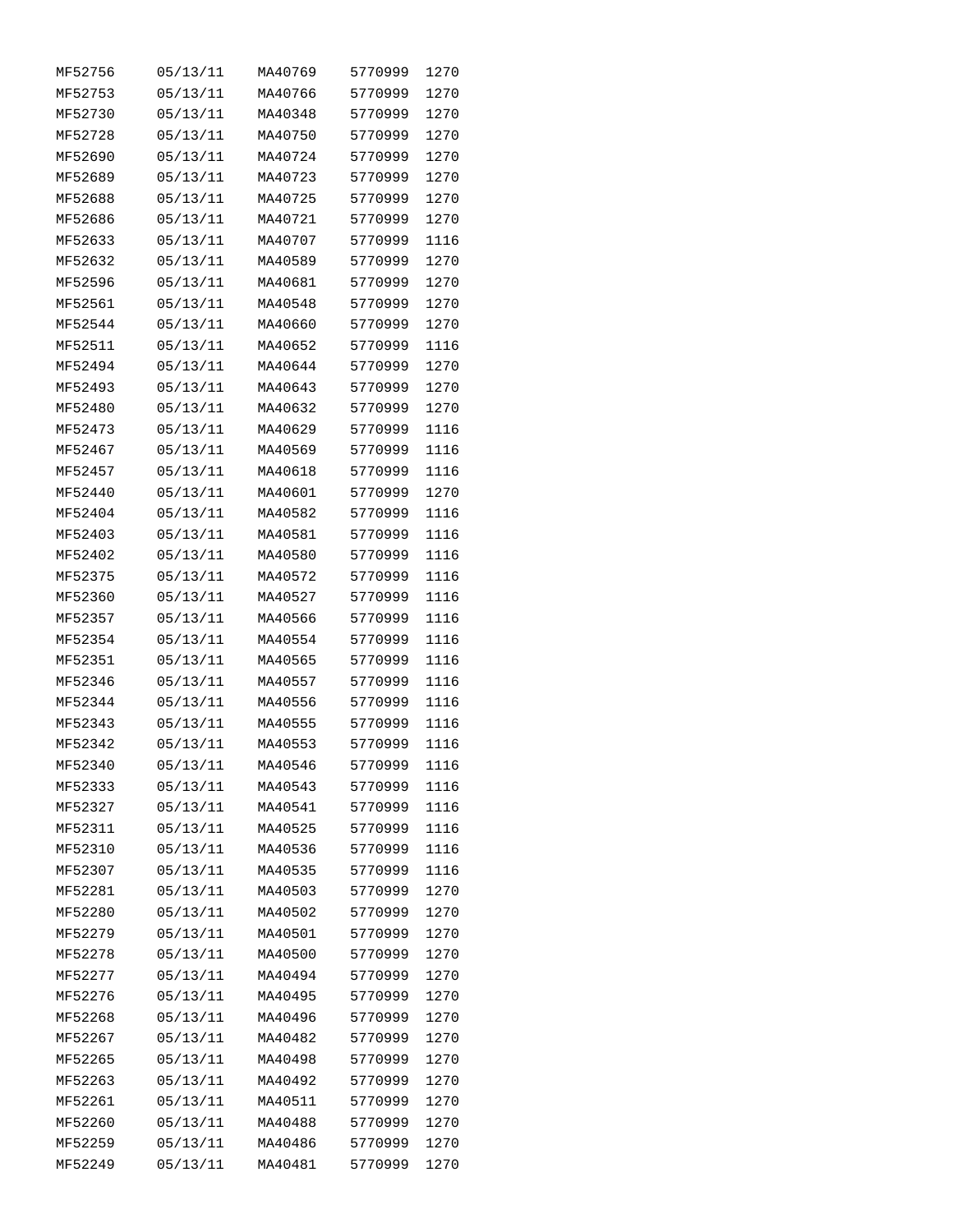| MF52756 | 05/13/11 | MA40769 | 5770999 | 1270 |
|---------|----------|---------|---------|------|
| MF52753 | 05/13/11 | MA40766 | 5770999 | 1270 |
| MF52730 | 05/13/11 | MA40348 | 5770999 | 1270 |
| MF52728 | 05/13/11 | MA40750 | 5770999 | 1270 |
| MF52690 | 05/13/11 | MA40724 | 5770999 | 1270 |
| MF52689 | 05/13/11 | MA40723 | 5770999 | 1270 |
| MF52688 | 05/13/11 | MA40725 | 5770999 | 1270 |
| MF52686 | 05/13/11 | MA40721 | 5770999 | 1270 |
| MF52633 | 05/13/11 | MA40707 | 5770999 | 1116 |
| MF52632 | 05/13/11 | MA40589 | 5770999 | 1270 |
| MF52596 | 05/13/11 | MA40681 | 5770999 | 1270 |
| MF52561 | 05/13/11 | MA40548 | 5770999 | 1270 |
| MF52544 | 05/13/11 | MA40660 | 5770999 | 1270 |
| MF52511 | 05/13/11 | MA40652 | 5770999 | 1116 |
| MF52494 | 05/13/11 | MA40644 | 5770999 | 1270 |
| MF52493 | 05/13/11 | MA40643 | 5770999 | 1270 |
| MF52480 | 05/13/11 | MA40632 | 5770999 | 1270 |
| MF52473 | 05/13/11 | MA40629 | 5770999 | 1116 |
| MF52467 | 05/13/11 | MA40569 | 5770999 | 1116 |
| MF52457 | 05/13/11 | MA40618 | 5770999 | 1116 |
| MF52440 | 05/13/11 | MA40601 | 5770999 | 1270 |
|         | 05/13/11 |         |         |      |
| MF52404 |          | MA40582 | 5770999 | 1116 |
| MF52403 | 05/13/11 | MA40581 | 5770999 | 1116 |
| MF52402 | 05/13/11 | MA40580 | 5770999 | 1116 |
| MF52375 | 05/13/11 | MA40572 | 5770999 | 1116 |
| MF52360 | 05/13/11 | MA40527 | 5770999 | 1116 |
| MF52357 | 05/13/11 | MA40566 | 5770999 | 1116 |
| MF52354 | 05/13/11 | MA40554 | 5770999 | 1116 |
| MF52351 | 05/13/11 | MA40565 | 5770999 | 1116 |
| MF52346 | 05/13/11 | MA40557 | 5770999 | 1116 |
| MF52344 | 05/13/11 | MA40556 | 5770999 | 1116 |
| MF52343 | 05/13/11 | MA40555 | 5770999 | 1116 |
| MF52342 | 05/13/11 | MA40553 | 5770999 | 1116 |
| MF52340 | 05/13/11 | MA40546 | 5770999 | 1116 |
| MF52333 | 05/13/11 | MA40543 | 5770999 | 1116 |
| MF52327 | 05/13/11 | MA40541 | 5770999 | 1116 |
| MF52311 | 05/13/11 | MA40525 | 5770999 | 1116 |
| MF52310 | 05/13/11 | MA40536 | 5770999 | 1116 |
| MF52307 | 05/13/11 | MA40535 | 5770999 | 1116 |
| MF52281 | 05/13/11 | MA40503 | 5770999 | 1270 |
| MF52280 | 05/13/11 | MA40502 | 5770999 | 1270 |
| MF52279 | 05/13/11 | MA40501 | 5770999 | 1270 |
| MF52278 | 05/13/11 | MA40500 | 5770999 | 1270 |
| MF52277 | 05/13/11 | MA40494 | 5770999 | 1270 |
| MF52276 | 05/13/11 | MA40495 | 5770999 | 1270 |
| MF52268 | 05/13/11 | MA40496 | 5770999 | 1270 |
| MF52267 | 05/13/11 | MA40482 | 5770999 | 1270 |
| MF52265 | 05/13/11 | MA40498 | 5770999 | 1270 |
| MF52263 | 05/13/11 | MA40492 | 5770999 | 1270 |
| MF52261 | 05/13/11 | MA40511 | 5770999 | 1270 |
| MF52260 | 05/13/11 | MA40488 | 5770999 | 1270 |
| MF52259 | 05/13/11 | MA40486 | 5770999 | 1270 |
| MF52249 | 05/13/11 | MA40481 | 5770999 | 1270 |
|         |          |         |         |      |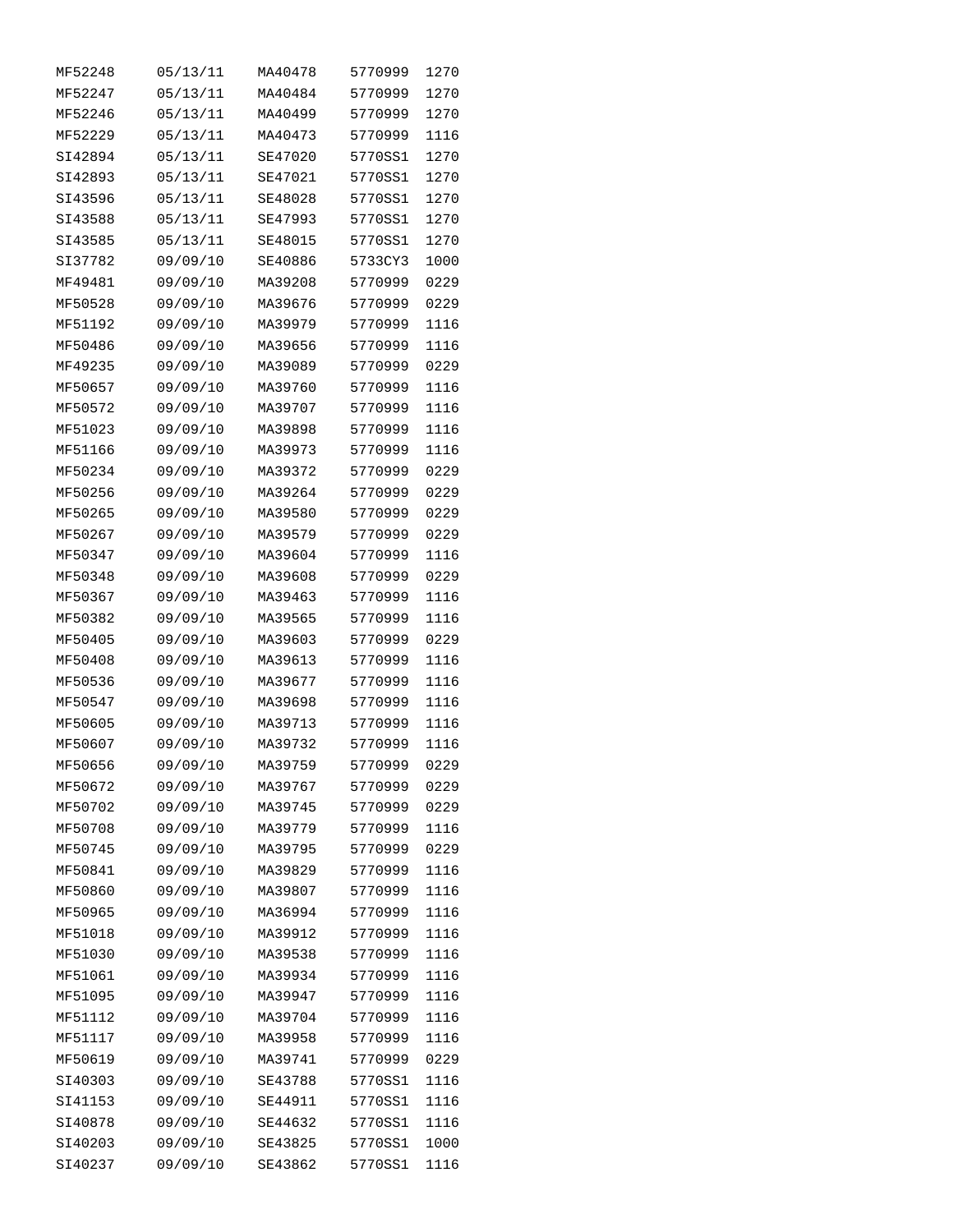| MF52248 | 05/13/11 | MA40478 | 5770999 | 1270 |
|---------|----------|---------|---------|------|
| MF52247 | 05/13/11 | MA40484 | 5770999 | 1270 |
| MF52246 | 05/13/11 | MA40499 | 5770999 | 1270 |
| MF52229 | 05/13/11 | MA40473 | 5770999 | 1116 |
| SI42894 | 05/13/11 | SE47020 | 5770SS1 | 1270 |
| SI42893 | 05/13/11 | SE47021 | 5770SS1 | 1270 |
| SI43596 | 05/13/11 | SE48028 | 5770SS1 | 1270 |
| SI43588 | 05/13/11 | SE47993 | 5770SS1 | 1270 |
| SI43585 | 05/13/11 | SE48015 | 5770SS1 | 1270 |
| SI37782 | 09/09/10 | SE40886 | 5733CY3 | 1000 |
| MF49481 | 09/09/10 | MA39208 | 5770999 | 0229 |
| MF50528 | 09/09/10 | MA39676 | 5770999 | 0229 |
| MF51192 | 09/09/10 | MA39979 | 5770999 | 1116 |
| MF50486 | 09/09/10 | MA39656 | 5770999 | 1116 |
| MF49235 | 09/09/10 | MA39089 | 5770999 | 0229 |
| MF50657 | 09/09/10 | MA39760 | 5770999 | 1116 |
| MF50572 | 09/09/10 | MA39707 | 5770999 | 1116 |
| MF51023 | 09/09/10 | MA39898 | 5770999 | 1116 |
| MF51166 |          | MA39973 | 5770999 |      |
|         | 09/09/10 |         |         | 1116 |
| MF50234 | 09/09/10 | MA39372 | 5770999 | 0229 |
| MF50256 | 09/09/10 | MA39264 | 5770999 | 0229 |
| MF50265 | 09/09/10 | MA39580 | 5770999 | 0229 |
| MF50267 | 09/09/10 | MA39579 | 5770999 | 0229 |
| MF50347 | 09/09/10 | MA39604 | 5770999 | 1116 |
| MF50348 | 09/09/10 | MA39608 | 5770999 | 0229 |
| MF50367 | 09/09/10 | MA39463 | 5770999 | 1116 |
| MF50382 | 09/09/10 | MA39565 | 5770999 | 1116 |
| MF50405 | 09/09/10 | MA39603 | 5770999 | 0229 |
| MF50408 | 09/09/10 | MA39613 | 5770999 | 1116 |
| MF50536 | 09/09/10 | MA39677 | 5770999 | 1116 |
| MF50547 | 09/09/10 | MA39698 | 5770999 | 1116 |
| MF50605 | 09/09/10 | MA39713 | 5770999 | 1116 |
| MF50607 | 09/09/10 | MA39732 | 5770999 | 1116 |
| MF50656 | 09/09/10 | MA39759 | 5770999 | 0229 |
| MF50672 | 09/09/10 | MA39767 | 5770999 | 0229 |
| MF50702 | 09/09/10 | MA39745 | 5770999 | 0229 |
| MF50708 | 09/09/10 | MA39779 | 5770999 | 1116 |
| MF50745 | 09/09/10 | MA39795 | 5770999 | 0229 |
| MF50841 | 09/09/10 | MA39829 | 5770999 | 1116 |
| MF50860 | 09/09/10 | MA39807 | 5770999 | 1116 |
| MF50965 | 09/09/10 | MA36994 | 5770999 | 1116 |
| MF51018 | 09/09/10 | MA39912 | 5770999 | 1116 |
| MF51030 | 09/09/10 | MA39538 | 5770999 | 1116 |
| MF51061 | 09/09/10 | MA39934 | 5770999 | 1116 |
| MF51095 | 09/09/10 | MA39947 | 5770999 | 1116 |
| MF51112 | 09/09/10 | MA39704 | 5770999 | 1116 |
| MF51117 | 09/09/10 | MA39958 | 5770999 | 1116 |
| MF50619 | 09/09/10 | MA39741 | 5770999 | 0229 |
| SI40303 | 09/09/10 | SE43788 | 5770SS1 | 1116 |
| SI41153 | 09/09/10 | SE44911 | 5770SS1 | 1116 |
| SI40878 | 09/09/10 | SE44632 | 5770SS1 | 1116 |
| SI40203 | 09/09/10 | SE43825 | 5770SS1 | 1000 |
| SI40237 | 09/09/10 | SE43862 | 5770SS1 | 1116 |
|         |          |         |         |      |